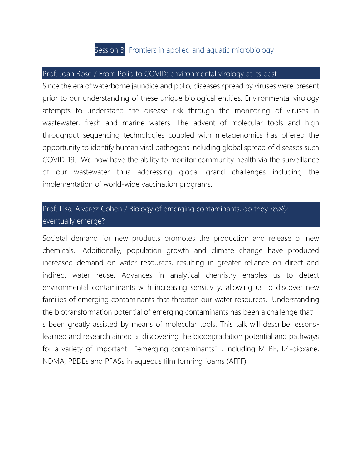## Session B Frontiers in applied and aquatic microbiology

## Prof. Joan Rose / From Polio to COVID: environmental virology at its best

Since the era of waterborne jaundice and polio, diseases spread by viruses were present prior to our understanding of these unique biological entities. Environmental virology attempts to understand the disease risk through the monitoring of viruses in wastewater, fresh and marine waters. The advent of molecular tools and high throughput sequencing technologies coupled with metagenomics has offered the opportunity to identify human viral pathogens including global spread of diseases such COVID-19. We now have the ability to monitor community health via the surveillance of our wastewater thus addressing global grand challenges including the implementation of world-wide vaccination programs.

## Prof. Lisa, Alvarez Cohen / Biology of emerging contaminants, do they really eventually emerge?

Societal demand for new products promotes the production and release of new chemicals. Additionally, population growth and climate change have produced increased demand on water resources, resulting in greater reliance on direct and indirect water reuse. Advances in analytical chemistry enables us to detect environmental contaminants with increasing sensitivity, allowing us to discover new families of emerging contaminants that threaten our water resources. Understanding the biotransformation potential of emerging contaminants has been a challenge that' s been greatly assisted by means of molecular tools. This talk will describe lessonslearned and research aimed at discovering the biodegradation potential and pathways for a variety of important "emerging contaminants", including MTBE, I,4-dioxane, NDMA, PBDEs and PFASs in aqueous film forming foams (AFFF).